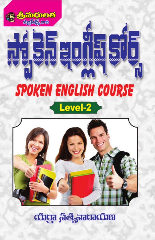

diiga fiet Jacadia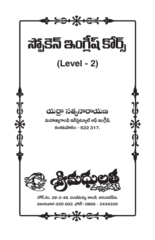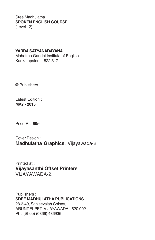#### Sree Madhulatha **SPOKEN ENGLISH COURSE** (Level - 2)

#### **YARRA SATYANARAYANA**

Mahatma Gandhi Institute of English Kankatapalem - 522 317.

© Publishers

Latest Edition : **MAY - 2015**

Price Rs. **60/-**

Cover Design : **Madhulatha Graphics**, Vijayawada-2

Printed at : **Vijayasanthi Offset Printers** VIJAYAWADA-2.

Publishers : **SREE MADHULATHA PUBLICATIONS** 28-3-49, Sanjeevaiah Colony, ARUNDELPET, VIJAYAWADA - 520 002. Ph : (Shop) (0866) 436936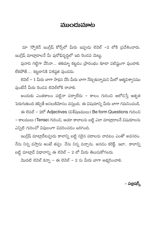### ముందుమాట

మా 'స్పోకెన్ ఇంగ్లీష్ కోర్స్లలో మీరు ఇప్పుడు లెవెల్ –2 లోకి (పవేశించారు. ఇంగ్లీష్ మాట్లాడాలనే మీ పురోభివృద్ధిలో ఇది రెండవ మెట్టు.

పునాది గట్టిగా వేసినా... తతిమ్మా కట్టడం (పారంభం కూడా పటిష్టంగా వుండాలి. లేకపోతే.... కట్టడానికి విశిష్ఠత వుండదు.

లెవెల్ – 1 మీరు బాగా సాధన చేసి మీరు బాగా నేర్చుకున్నామని మీలో ఆత్మవిశ్వాసము వుంటేనే మీరు రెండవ లెవెల్లోకి రావాలి.

అందుకు ఎంతకాలం పట్టినా పర్వాలేదు – కాలం గురించి ఆలోచిస్తే ఆతృత పెరుగుతుంది తప్పితే అసలుకిమోసం వస్తుంది. ఈ విషయాన్ని మీరు బాగా గమనించండి. ఈ లెవల్ - 2లో Adjectives (విశేషణములు) Be form Questions గురించి – కాలములు (Tense) గురించి, ఆయా కాలాలను బట్టి ఎలా మాట్లాదాలనే విషయాలను ఎన్నిటి గురించో విపులంగా వివరించడం జరిగింది.

ఇంగ్లీష్ మాట్లాడేటప్పుడు కాలాన్ని బట్టి సరైన పదాలను వాడటం ఎంతో అవసరం. నేను నిన్న వస్తాను అంటే తప్పు. నేను నిన్న వచ్చాను. అనడం కరెక్ట్. ఇలా.. కాలాన్ని బట్టి మాట్లాడే విధానాన్ని ఈ లెవెల్ – 2 లో మీరు తెలుసుకోగలరు.

మొదటి లెవెల్ కన్నా – ఈ లెవెల్ – 2 ను మీరు బాగా అభ్యసించాలి.

– పబ్లిషర్స్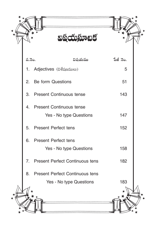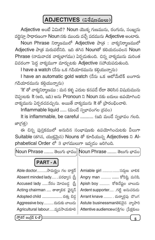## ADJECTIVES (విశేషణములు)

Adjective అంటే ఏమిటి? Noun యొక్క గుణమును, రంగును, సంఖ్యను వర్ణిస్తూ సాధారణంగా Noun నకు ముందు వచ్చే పదమును Adjective అంటారు.

Noun Phrase నిర్మాణములో Adjective పాత్ర : వాక్యనిర్మాణములో Adjective పాత్ర మరువలేనిది. ఇది తగిన Nounతో కలియడంవలన Noun Phrase (నామవాచక వాక్యభాగము) ఏర్పడుతుంది. చిన్న వాక్యమును మరింత వివరంగా పెద్ద వాక్యముగా మార్చుటకు Adjective సహాయపడుతుంది.

I have a watch (నేను ఒక గడియారమును కల్గియున్నాను)

I have an automatic gold watch (నేను ఒక ఆటోమేటిక్ బంగారు గడియారమును కల్గియున్నాను)

'lt' తో వాక్యనిర్మాణము : మన కళ్ళ ఎదుట కనపడే లేదా తెలిసిన విషయమును చెప్తుటకు It (అది, ఇది) అను Pronoun ని Noun నకు బదులు ఉపయోగించి వాక్యమును ఏర్పరచవచ్చును. అయితే వాక్యమును lt తో (పారంభించాలి.

Inflammable liquid ..... (మండే స్వభావంగల (దవం)

It is inflammable, be careful .......... (ఇది మండే స్వభావం గలది. జా(గత్ర)

ఈ చిన్న పుస్తకములో అనుదిన సంభాషణకు ఉపయోగించుటకు వీలుగా Suitable (తగిన, యుక్తమైన) Nouns తో కూడియున్న Adjectives ని Alphabetical Order లో 3 భాగములుగా ఇవ్వడం జరిగింది.

|Noun Phrase ....... తెలుగు భావం||Noun Phrase ....... తెలుగు భావం<sup>|</sup>  $$ Able doctor...........సామర్థ్యం గల డాక్టర్ Amiable girl ................... సద్దుణ బాలిక Absent minded lady....... పరధ్యాస (స్తీ Angry man ........... ..... కోపిష్టి మనిషి Accused lady .....నేరం మోపబడ్డ స్ట్రీ Apish boy ........... కోతిచేష్టల బాలుడు Acting chairman .... తాత్కాలిక ఛైర్మన్ Ardent supporter..... . గట్టి అనుచరుడు Arrant knave ......... . దుర్మార్గపు దొంగ Adopted child ................. దత్తు బిడ్డ Aggressive boy........... దుడుకు బాలుదు Astute businessmand az ವ್ಯಾವ್

స్పోకెన్ ఇంగ్లీష్ **L-2** 

Agricultural labour......వ్యవసాయకూలి

Attentive audience అసక్తిగల (పేక్షకులు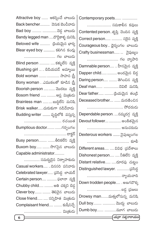| Attractive boy  ఆకర్వించే బాలుడు        | Contemporary poets                      |
|-----------------------------------------|-----------------------------------------|
| Back bencher……… వెనుక బెంచీవాడు         | సమకాలీన కవులు                           |
| Bad boy   చెడ్డ బాలుడు                  | Contented person. తృప్తి చెందిన వ్యక్తి |
| Bandy legged man దొడ్డికాళ్ళ మనిషి      | Correct person  సరైన వ్యక్తి            |
| Beloved wife   క్రియమైన భార్య           | Courageous boy ధైర్యంగల బాలుడు          |
| Blear eyed boy  కలిగిన కండ్లు           | Crafty businessman  నైపుణ్యం            |
| గల బాలుదు                               | గల వ్యాపారి                             |
| Blind person ……… …కళ్ళులేని వ్యక్తి     | Damnable person  హీనమైన  వ్యక్తి        |
| Blushing girl …  బిడియపడే అమ్మాయి       | Dapper child  అందమైన బిడ్డ              |
| Bold woman  సాహస <u>స్ర్</u> రీ         |                                         |
| Bony womanఎముకలతో కూడిన ట్రీ            | Daring person  తెగించిన  వ్యక్తి        |
| Boorish person ………… మొరటు  వ్యక్తి      | Deaf man చెవిటి మనిషి                   |
| Bosom friend  ఆప్త మిత్రుడు             | Dear father  ట్రియమైన తండ్రి            |
| Brainless man బుద్ధిలేని మనిషి          | Deceased brother  మరణించిన              |
| Brisk walkerచురుకుగా నడిచేవాదు          | సోదరుడు                                 |
| Budding writer ……. వృద్ధిలోకి  వస్తున్న | Dependable person. ….నమ్మదగ్గ వ్యక్తి   |
| రచయిత                                   | Devout follower అంకితమైన                |
| Bumptious doctor  గర్వంగల               | అనుచరుడు                                |
|                                         | Dexterous workers …… నైపుణ్యంగల         |
| Busy person తీరికలేని వ్యక్తి           |                                         |
| Buxom boy  సొగసైన  బాలుడు               | Different areas  వివిధ (ప్రదేశాలు       |
| Capable administrator                   | Dishonest person  నీతిలేని వ్యక్తి      |
| సమర్దదైన నిర్వాహకుడు                    | Distant relative దూరపు చుట్టం           |
| Casual workers  దినసరి పనివారు          | Distinguished lawyer. తసిద్ధ            |
| Celebrated lawyer (పసిద్ధ లాయర్         | న్యాయవాది                               |
| Certain person  ఫలానా వ్యక్తి           | Down trodden people . అణగదొక్క          |
| Chubby child అతి చక్కని బిడ్డ           | బడ్డ 'ప్రజలు                            |
| Clever boy  తెలివైన బాలుడు              | Drowsy manమత్తులోనున్న మనిషి            |
| Close friend  సన్నిహిత మిత్రుడు         | Dull boy  మొద్దు బాలుడు                 |
| Complaisant friend  కుషీనిచ్చే          | Dumb boy  మూగ బాలుడు                    |
| మిత్రుడు                                |                                         |
| 6                                       | (యర్రా సత్యనారాయణ)                      |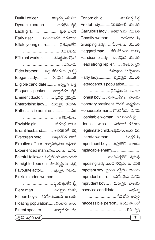Forlorn child...... ............ విడవబడ్డ బిడ్డ Fretful lady...... .... చిరబిరలాదే యువతి Garrulous lady .. అతివాగుడు యువతి Ghastly woman..............భయంకర (స్త్రీ Grasping lady... .... పేరాశగల యువతి Haggard man..... . సోలిపోయిన మనిషి Handsome lady.... అందమైన యువతి Head strong replier....... . తలబిరుసైన ................ సమాధాన మిచ్చేవాడు Hafty lady....... ......... దృఢమైన యువతి Heterogenous population..... ........... ................. వైవిధ్యంగల జనాభా Honest boy..... . నిజాయితీగల బాలుడు Honorary president.. గౌరవ అధ్యక్షుడు Honourable man... గౌరవనీయ మనిషి Hospitable woman....ఆదరించెడి (స్త్రీ Identical twins...... . ఏకరూప కవలలు Illegitimate child. అక్రమసంబంధ బిడ్డ llliterate woman................. నిరక్షర & Impertinent boy.... సభ్యతలేని బాలుడు Implacable enemy.... ................... .................... శాంతిపర్నలేని శ(తువు Imposing lady మంచి సౌష్టవంగల వనిత Impotent boy.. లైంగిక శక్తిలేని బాలుడు

Imprudent man.... అవివేకమైన మనిషి Imprudent boy.... .... దురుసైన బాలుదు hservice candidate...... ........ (పభుత్వ ....................... సేవలోని అభ్యర్ధి

Inaccessible person.. ಅಂದುಬ್*ಟು*ಲ್ ................................. లేని వ్యక్తి

Dutiful officer........ ......కార్యదక్ష ఆఫీసరు Dynamic person....... ..... చురుకైన వ్యక్తి Early riser......... పెందలకడనే లేచువాడు Effete young man........ ...... చైతన్యంలేని ............................... యువకుడు

Efficient worker.............సమర్ధవంతమైన ................................. పనివాడు

Elder brother.... ... పెద్ద సోదరుడు (అన్న) Elegant lady........... .... సొగసైన యువతి Eligible candidate....... ... అరుడైన వ్యక్తి Eloquent speaker....... వాగ్గాటిగల వ్యక్తి Eminent doctor............... స్రసిద్ధ వైద్యుడు Enterprising lady... ... చురుకైన యువతి Enthusiastic admirers....... ........... ad

............................ అభిమానులు Enviable girl....................కోరదగ్గ బాలిక Errant husband...... ..... గాలికితిరిగే భర్త Evergreen hero.... ...... నిత్యశోభిత హీరో Excutive officer. కార్యనిర్వహణ అధికారి Experienced man.అనుభవంగల మనిషి Faithful follower..విశ్వసీయ అనుచరుడు Farsighted person...దూరదృష్టిగల వ్యక్తి Favourite actor............. ఇష్టమైన నటుడు Fickle minded women...................

.......................... స్థిరచిత్తంలేని 'స్త్రీ Fiery man.......... ........... ఉగ్రమైన మనిషి Fifteen boys... పదిహేనుమంది బాలురు Floating population..... .. సంచార జనం Fluent speaker....... ...... వాగ్గాటిగల వక్త

స్పోకెన్ ఇంగ్లీష్  $L$ -2  $\rceil$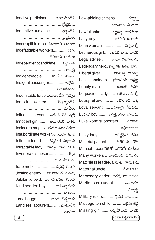| <mark>Law-abiding citizens</mark> చట్టాన్ని   |  |
|-----------------------------------------------|--|
| గౌరవించే పౌరులు                               |  |
| <mark>Lawful heirs</mark> చట్టబద్ధ  వారసులు   |  |
| <mark>Lazy boy</mark> సోమరి బాలుదు            |  |
| Lean woman  సన్నని ట్రీ                       |  |
| Lecherous girl  అధిక కామ బాలిక                |  |
| Legal adviser న్యాయ సలహాదారు                  |  |
| Lagendary heroకాల్పనిక కథల హీరో               |  |
| Liberal giver దాతృత్వ దానకర్త                 |  |
| <mark>Local candidate</mark> ဆြာဝမ်ီထ် ဗဆ္နရွ |  |
| <mark>Lonely man</mark> ఒంటరి మనిషి           |  |
| Loquacious lady……  అతివాగుడు 'స్రీ            |  |
| Lousy fellow  కొరగాని వ్యక్తి                 |  |
| Loyal servant విశ్వాస ేసవకుడు                 |  |
| Lucky boy  అదృష్టంగల బాలుడు                   |  |
| Luke worm supporters  ఉదాసీన                  |  |
| అభిమానులు                                     |  |

Lusty lady......... ........ బలిష్టమైన వనిత Malarial patient........ మలేరియా రోగి Manual labour.చేతితో పనిచేసే కూలీలు Many workers .. చాలమంది పనివారు Matchless leaderఅపురూప నాయకుడు Maternal uncle....... ...........మేనమామ Mercenary leader. . జీతపు నాయకుడు Meritorious student..... ...... (పతిభగల

.................................... విద్యార్థి Military rulers..... ....... సైనిక పాలకులు Misbegotten child...... ..... అ(కమ బిడ్డ Missing girl.......... తప్పిపోయిన బాలిక

కూరీలు

lnactive participant... ... ఉత్సాహంలేని .................................... [పేక్షకుడు Inetentive audience........ ..... ధ్యాసలేని Incorruptible officerನಿజాయితీ అధికారి Indefatigable workers...... ......... (శమ ................... తెలియని కూలీలు Independent candidate... ... స్వతంత్ర ..................................... అభ్యర్థి Indigentpeople...... ... నిరుపేద (పజలు Indigent passenger....... ......... ఆ(గహ .......................... (పయాణీకుడు Indomitable force. ಜಯಂಕ್ಷಲಿ ನನ್ನೊಂ Inefficient workers. ......... నైపుణ్యంలేని ................................ కూలీలు Influential person.... పరపతి లేని వ్యక్తి lnnocent girl.......... .. అమాయక బాలిక Insincere magicianకుటిల మాంత్రికుడు Insubordinate worker.. అವಿಧೆಯ కూలి Intimate friend ...... సన్నిహిత మి(తుడు Intractable lady. ... హద్దలుదాటే వనిత Inverterate smoker...... ............... తీమ ......................... ధూమపానుడు Irate mob........ .................. සි(යිඡු గుంపు Jesting enemy... . పరిహసించే శ(తువు Jubilant crowd... ఉత్సాహభరిత గుంపు Kind hearted boy .......... జాలిహృదయ ........................ బాలుదు lame beggar......... .... కుంటి బిచ్చగాడు Landless labourers.... ....... భూమిలేని

యర్రా సత్యనారాయణ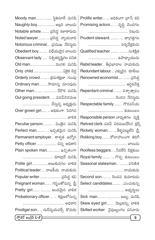| Moody man  స్థితిమారే మనిషి                  | Prolific writer  అధికంగా  వాసే కవి       |
|----------------------------------------------|------------------------------------------|
| Naughty boy అల్లరి బాలుదు                    | Promising actors  వృద్ధి చెందగల          |
| Notable artiste ప్రసిద్ధ కళాకారుడు           | నటుదు                                    |
| <mark>Noted lawyer</mark> చ్రసిద్ధ న్యాయవాది | Prudent steward  జాగ్రత్తగల              |
| Notorious criminal .డ్రముఖ నేరస్థుడు         | పర్యవేక్షకుడు                            |
| Obedient boy………  విధేయుడైన బాలుడు            | Qualified teacher  సుశిక్షిత             |
| Observant lady…… నిశ్చితదృష్టిగల వనిత        | ఉపాధ్యాయుడు                              |
| Old man  ముసలి మనిషి                         | Rabid leader తీ[వభావాల నాయకుడు           |
| Only child ఏకైక బిడ్డ                        | Redundant labour ఎక్కువైన  కూలీలు        |
| Orderly crowd……… క్రమశిక్షణా  గుంపు          | Renowned economist  ప్రసిద్ధ             |
| Ordinary manసామాన్య మానవుడు                  | ఆర్గికవేత్త                              |
| Other man  వేరొక  మనిషి                      | Repentant criminal  పశ్చాత్తాపం          |
| Out going president  పదవీవిరమణ               | చెందిన నేరస్శుడు                         |
| చేస్తున్న అధ్యక్షుడు                         | Respectable family .గౌరవనీయ              |
| Over grown girl అధికంగా ెపెరిగిన             | కుటుంబం                                  |
| బాలిక                                        | Responsible person.బాధ్యతగల వ్యక్తి      |
| Peculiar person  వింతైన  మనిషి               | Retired clerkపదవీ విరమణచేసిన క్లర్క్     |
| Perfect man  ఖచ్చితమైన  మనిషి                | Rickety woman…… … కీళ్ళపట్టులేని 'స్ర్తీ |
| Permanent employer శాశ్వత ఉద్యోగి            | Roliking boyకోలాహలంగా  తిరిగే            |
| Petty officer  చిన్న అధికారి                 | బాలుడు                                   |
| Plain spoken man  ఖచ్చితంగా                  | Roofless beggarsనీడలేని బిక్షకులు        |
| మాట్లాదే మనిషి                               | Royal family గొప్ప  కుటుంబం              |
| Polite girl అణుకువగల బాలిక                   | Seasonal statesman  పరిణిత               |
| Political leader రాజకీయ నాయకుడు              | నాయకుడు                                  |
| Popular writer  డ్రసిద్ధ కవి                 | Second son రెండవ కుమారుడు                |
| Pregnant woman గర్భంతోనున్న  ట్రీ            | Select candidates ఎంచుకున్న              |
| Pretty girl  అందమైన బాలిక                    | అభ్యర్శలు                                |
| Probationary officer   శిక్షణలోనున్న         | Sick man  జబ్బు మనిషి                    |
|                                              | Skew eyed girl . మెల్లకన్ను బాలిక        |
| Prodigal son  దుర్వ్యయపర్చే  కొదుకు          | Skilled worker. నైపుణ్యంగల పనివాడు       |
| ( స్పోకెన్ ఇంగ్లీష్ <b>L-2</b>               | 9                                        |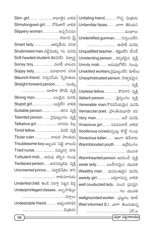| Slim girl  నాజూకైన బాలిక                    | Unfailing friend  గొప్ప మిత్రుడు      |
|---------------------------------------------|---------------------------------------|
| Slimytongued girl నోరుజారే బాలిక            | Unfamiliar faces బాగా తెలియని         |
|                                             |                                       |
| Slippery woman……… ……ఉచ్చనీచము               | ముఖాలు                                |
| లెరుగని ౹స్టీ                               | Unidentified gunman  గుర్తించలేని     |
| Smart lady ఆకర్వణీయ వనిత                    | తుపాకీ మనిషి                          |
| Snubnosed man.చట్టిముక్కు గల మనిషి          | Unqualified teacher శిక్షణలేని టీచర్  |
| Soft headed student.తెలివిలేని విద్యార్థి   | Unrelenting personకర్కశమైన వ్యక్తి    |
| Sonsy boy  చలాకీ బాలుడు                     | Unruly mob అదుపులోలేని గుంపు          |
| Soppy lady మూఢాచార వనిత                     | Unskilled workers.నైపుణ్యంలేని కూలీలు |
| <b>Staunch friend</b> విశ్వసనీయ స్నేహితుడు  | Unsophisticated person. సాత్వికమైన    |
| Straight forward person  ముక్కు             |                                       |
| సూటిగా పోయే వ్యక్తి                         | Useless fellow   కొరగాని వ్యక్తి      |
| Strong man  బలమైన  మనిషి                    | Valiant person  ధైర్యంగల వ్యక్తి      |
| <b>S</b> tupid girl  బుద్దిలేని బాలిక       | Venerable man.గౌరవనీయమైన మనిషి        |
| Suitable person తగిన వ్యక్తి                | Vernacular poet (పాంతీయభాషా కవి       |
| Talented person…… . నైపుణ్యంగల  వ్యక్తి     | Very man  అదే మనిషి                   |
| Talkative girl  వాగుడు  పిల్ల               | Vivacious girl నవనవలాడే బాలిక         |
| Timid fellow……………………… పిరికి వ్యక్తి        | Vociferous crowdచప్పట్లు కొట్టే గుంపు |
| Titular ruler నామక పాలకుడు                  | Voracious eater ఆబగా తినేవాదు         |
| Troublesome boy.ఇబ్బంది పెట్టె బాలుడు       | Warmblooded youth.  ఉఁదేకంగల          |
| <mark>Tried nurse</mark> నమ్మదగ్గ దాది      | యువత                                  |
| Turbulent mob…. అదుపు తప్పిన గుంపు          | Warmhearted person. అదరించే వ్యక్తి   |
| Twofaced person అపనమ్మకపు వ్యక్తి           | weak lady………. బలహీనమైన  యువతి         |
| Uncrowned prince పట్టాభిషేకం కాని           | Wealthy man ధనవంతుడైన మనిషి           |
| రాకుమారుడు                                  | weedy girl బక్కగానున్న బాలిక          |
| Underfed child. తిండి సరిగ్గా పెట్టని బిడ్డ | well couducted lady మంచి (పవర్తన      |
| Underprivileged classes . అల్పహక్కుల        | గల యువతి                              |
| వర్గాలు                                     | wellgrounded worker .డ్రజ్ఞగల కూలీ    |
| Undesirable friend  అభ్యంతరకర               | Well informed S.Iబాగా తెలుసుకున్న     |
| మిత్రుడు                                    | ఎస్.ఐ                                 |
| $1$ 10 $\pm$                                |                                       |

a Ŀ مي.<br>ح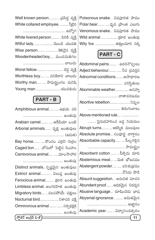Poisonous snake... విషపూరిత పాము Polar bear........ .... ధృవ బ్రాంత ఎలుగు Venomous snake... విషపూరిత పాము Wild animal .... ............ క్రూర జంతువు Wily fox ......... ........... జిత్తులమారి నక్క

## **PART - C**

| ్లుడు      | Abdominal pains . ఉదరనొప్పులు       |
|------------|-------------------------------------|
| ్ష వ్యక్తి | Adject behaviour  నీచ (పవర్తన       |
| ాలుడు      | Adnormal conditionsఅసాధారణ          |
| మనిషి      | పరిస్థితులు                         |
| నకుడు      | Abominable weatherఅసహ్య             |
|            | వాతావరణము                           |
|            | Abortive rebellion  నిష్పల          |
| ప చర       | తిరుగుబాటు                          |
| ుతువు      | Above-mentioned rule                |
| ಒಂಪ        | పైనుదహరించ బడ్డ నియమం               |
| సవులు      | Abrupt turns  ఆకస్మిక మలుపులు       |
| కెడుత)     | Absolute promise సంపూర్ణ వాగ్దానం   |
| గుర్రం     | Absorbable capacity…… … పీల్చగల్గిన |
| ంహం        | సామర్థ్యం                           |
| ాహార       | Absorbent cotton ……  పీల్చెడు  దూది |
| ుతువు      | Abstemious meal  మిత భోజనము         |
| సవులు      | Abstergent powder  పరిశుభ్రము       |
| ంతువు      |                                     |
| ౦తువు      | Absurd suggestion అనుచిత సూచన       |
| ంతువు      | Abundant proof అధికమైన నిదర్శన      |
| పక్షులు    | Abusive language దూషించెడు భాష      |
| ర పక్షి    | Abysmal ignorance  అమితమైన          |
| స్టభక్షక   | అజ్ఞానం                             |
| ుతువు      | Academic year విద్యాసంవత్సరం        |
|            |                                     |

| Well known person త్రసిద్ధ వ్యక్తి    |
|---------------------------------------|
| White collared employee.  నీటైన       |
|                                       |
| White livered person . పిరికి వ్యక్తి |
| Wilful lady  మొండి యువతి              |
| Wise person  తెలివైన వ్యక్తి          |
| Woodenheaded boy  మందమతిగల            |

Worst fellow.......... .................... ap Worthless boy ..... .... పనికిరాని బ Worthy man..... .... సామర్థ్యంగల 

### **PART - B**

| Amphibious animalఉభయ చర              |  |
|--------------------------------------|--|
| జంతువు                               |  |
| Arabian camel అరేబియా  ఒంటె          |  |
| Arborial amimals వృక్ష జంతువులు      |  |
| (ఉడుత)                               |  |
| Bay horse   కొంచం ఎర్రని గుర్రం      |  |
| Caged lion .బోనులో పెట్టిన సింహం     |  |
| Carnivorous animal మాంసాహార          |  |
| జంతువు                               |  |
| Distinct animals. స్పష్టమైన జంతువులు |  |
| Extinct animal విలుష జంతువు          |  |
| Ferocious animal (కూర జంతువు         |  |
| Limbless animal అంగరహిత జంతువు       |  |
| Migratory birds….  వలసపోయే  పక్షులు  |  |
| Nocturnal bird  నిశాచర పక్షి         |  |
| Omnivorous animal  సర్వభక్షక         |  |
|                                      |  |

స్సోకెన్ ఇంగీష్ L-2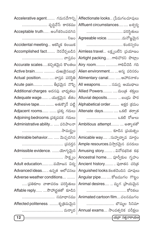| Accelerative agent గమనవేగాన్ని      | Affectionate looks (పేమగలచూపులు            |
|-------------------------------------|--------------------------------------------|
| వృద్ధిచేసే కారకము                   | Affluent circumstances xxs                 |
| Acceptable truth .అంగీకరింపదగిన     | పరిస్థితులు                                |
|                                     | Agreeable voice. మనోజ్ఞమైన                 |
| Accidental meeting ఆకస్మిక కలయిక    | కంఠస్వరం                                   |
| Accomplished fact నెరవేర్చబడిన      | Aimless travel లక్ష్యంలేని 'ప్రయాణం        |
| వాస్తవం                             | Airtight packing . ಗಾಲಿವೌರನಿ ಪೌಟ್ಲಾಂ       |
| Accurate scalesకచ్చితమైన కొలతలు     | Airy room  గాలివీచెడి గది                  |
| Active brain  చుఱుకైనబుర్ర          | Alien environment  అన్య పరిసరం             |
| Actual position వాస్తవ పరిస్థితి    | Alimentary canal  ఆహారనాళం                 |
| Acute pain  తీ[వమైన నొప్పి          | All weapons  సమస్త ఆయుధాలు                 |
| Additional charges అదనపు బాధ్యతలు   | Allied Powers  మంత్ర శక్తులు               |
| Adequate wage  యుక్తమైన  జీతం       | Alluvial deposits  బం(ුයා බැර              |
| Adhesive tape  అతుక్కొనే  పట్టి     | Alphabetical order అక్షర (కమం              |
| Adjacent rooms  (పక్క గదులు         | Altenate days ఒకటి తర్వాత                  |
| Adjoining bedrooms. ప్రక్కపడక గదులు | ఒకటి రోజులు                                |
| Administrative ability  పరిపాలనా    | Ambitious attempt  అత్యాశతో                |
| సామర్థ్యం                           | కూడిన [పయత్నం                              |
| Admirable behavior  మెచ్చదగిన       | Amicable way సుహృద్భావ మార్గం              |
|                                     | Ample resources.విస్తారమైన వనరులు          |
| Admissible evidence. యోగ్యమైన       | Amusing story  వినోదభరిత  కథ               |
| సాక్ష్యం                            | Ancestral home…… పూర్వీకుల గృహం            |
| Adult educationపయోజన విద్య          | Ancient history పురాతన చరిత్ర              |
| Advanced ideas ఉన్నత  అలోచనలు       | Anguished looks.కలతచెందిన చూపులు           |
| Adverse weather conditions          | Angular pipe కోణముగల గొట్టం                |
| (పతికూల వాతావరణ పరిస్థితులు         | Animal desires  మృగ (పాయమైన                |
| Affable reply సౌహా(ర్ధతతో కూడిన     | కోరికలు                                    |
| సమాధానము                            | Animated cartoon film చలనముగల              |
| Affected politeness. కృత్రిమమైన     | బొమ్మల సినిమా                              |
|                                     | మర్యాద   Annual exams సాంవత్సరిక  పరీక్షలు |
| 12                                  | [యర్రా సత్యనారాయణ]                         |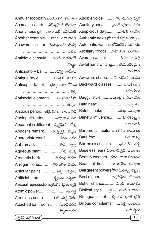| Annular foot-path.వలయాకార కాలిబాట         | Audible voice  వినబడునట్టి ధ్వని        |
|-------------------------------------------|-----------------------------------------|
| Anomalous verb విభిన్నమైన క్రియలు         | Auditory nerve (శవణేం(దియ నరం           |
| Anonymous gift అనామక బహుమతి               | Auspicious day  శుభ దినము               |
| Another example . వేరొక ఉదాహరణ            | Authentic news.(పామాణికమైన వార్తలు      |
| Answerable letter సమాధానమీయదగ్గ           | Automatic watchఆటోమేటిక్ గడియారం        |
|                                           | Auxiliary troops  సహాయక బలగాలు          |
| Antibiotic capsule . అంటి బయాటిక్         | Average weight  సగటు బరువు              |
|                                           | Awful hand writting  భయంకరమైన           |
| Anticipatory bail .ముందస్తు  జామీను       | చేతిమ్రాత                               |
| Antique style  వింతైన విధము               | Awkward shape  వికారమైన  రూపం           |
| Antiseptic tabletక్రుళ్ళకుండా చేసెడు      | Backward classes  వెనుకబడిన             |
|                                           | తరగతులు                                 |
| Antisocial elements  సంఘవి(దోహ            | Baggy style వదులైన విధానము              |
| శక్తులు                                   | Bald head బట్ట తల                       |
| Anxious period. ఆ(తుతగల కాలవ్యవధి         | Baleful looks  దుఃఖ చూపులు              |
| Apologetic letterపశ్చాత్తాప  లేఖ          | Baneful influence హానికరమైన             |
| Apparent in different  స్పష్టమైన  ఉపేక్ష  | పలుకుబడి                                |
| Apposite remark  ಯುಕ್ತಮైನ ವ್ಯಾఖ್ಯ         | Barbarous habits. అనాగరిక అలవాట్లు      |
| Appropriate word తగిన పదం                 | Bare foot పట్టి కాళ్ళు                  |
| Apt remark  తగిన వ్యాఖ్య                  | Barren discussion  ఫలింపని చర్చ         |
| Aqueous plant నీటి మొక్క                  | Baseless fears నిరాధారమైన భయాలు         |
| Aromatic bark సుగంధ బెరడు                 | Beastly weather. (కూర వాతావరణము         |
| Arrogant tone  గర్వంగల స్వరం              | Beautiful dress… … అందమైన  దుస్తులు     |
| Articular pains  కీళ్ళ నొప్పులు           | Belligerent powersపోరాడుతున్న శక్తులు   |
| Artificial tears ……… … కృత్రిమ  కన్నీళ్ళు | Best dinner ఉత్తమమైన భోజనం              |
| Asexual reproductionఅలైంగిక (పత్యుత్పత్తి | Better chanceమంచి అవకాశం                |
| Atomic power  అణుశక్తి                    | Biblical style…  బైబిలు వంటి విధానం     |
| Atrocious crime  అతి దుష్ట నేరం           | Billingual script  ద్విభాషా 'వాత 'ప్రతి |
| Attached bathroom   జతపరచిన               | Bilious complaints పిత్త సంబంధ          |
| స్నానాలగది                                | సమస్యలు                                 |

(స్పోకెన్ ఇంగ్లీష్ L-2)